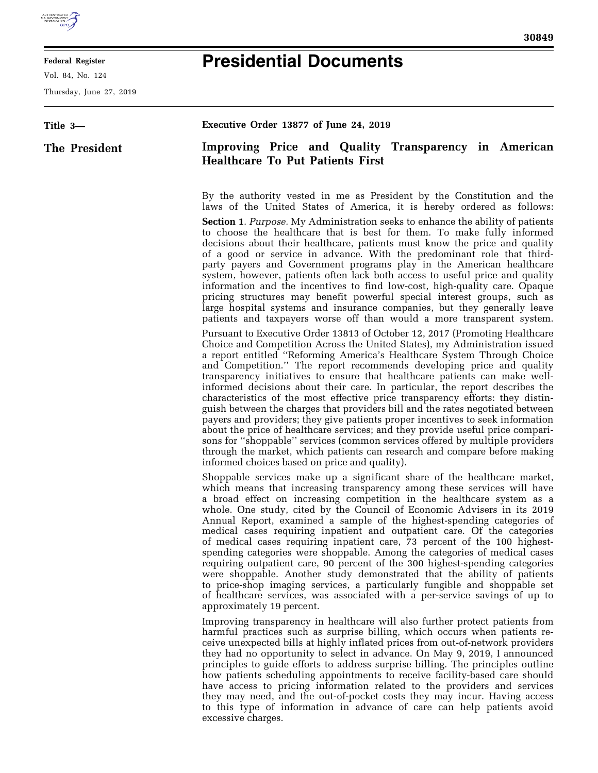

E

## **Federal Register**

Vol. 84, No. 124

Thursday, June 27, 2019

## **Presidential Documents**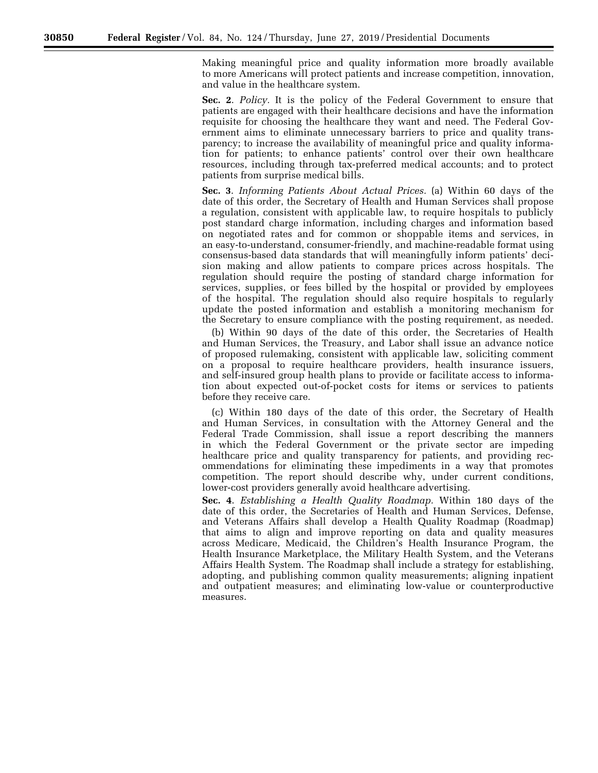Making meaningful price and quality information more broadly available to more Americans will protect patients and increase competition, innovation, and value in the healthcare system.

**Sec. 2**. *Policy.* It is the policy of the Federal Government to ensure that patients are engaged with their healthcare decisions and have the information requisite for choosing the healthcare they want and need. The Federal Government aims to eliminate unnecessary barriers to price and quality transparency; to increase the availability of meaningful price and quality information for patients; to enhance patients' control over their own healthcare resources, including through tax-preferred medical accounts; and to protect patients from surprise medical bills.

**Sec. 3**. *Informing Patients About Actual Prices.* (a) Within 60 days of the date of this order, the Secretary of Health and Human Services shall propose a regulation, consistent with applicable law, to require hospitals to publicly post standard charge information, including charges and information based on negotiated rates and for common or shoppable items and services, in an easy-to-understand, consumer-friendly, and machine-readable format using consensus-based data standards that will meaningfully inform patients' decision making and allow patients to compare prices across hospitals. The regulation should require the posting of standard charge information for services, supplies, or fees billed by the hospital or provided by employees of the hospital. The regulation should also require hospitals to regularly update the posted information and establish a monitoring mechanism for the Secretary to ensure compliance with the posting requirement, as needed.

(b) Within 90 days of the date of this order, the Secretaries of Health and Human Services, the Treasury, and Labor shall issue an advance notice of proposed rulemaking, consistent with applicable law, soliciting comment on a proposal to require healthcare providers, health insurance issuers, and self-insured group health plans to provide or facilitate access to information about expected out-of-pocket costs for items or services to patients before they receive care.

(c) Within 180 days of the date of this order, the Secretary of Health and Human Services, in consultation with the Attorney General and the Federal Trade Commission, shall issue a report describing the manners in which the Federal Government or the private sector are impeding healthcare price and quality transparency for patients, and providing recommendations for eliminating these impediments in a way that promotes competition. The report should describe why, under current conditions, lower-cost providers generally avoid healthcare advertising.

**Sec. 4**. *Establishing a Health Quality Roadmap.* Within 180 days of the date of this order, the Secretaries of Health and Human Services, Defense, and Veterans Affairs shall develop a Health Quality Roadmap (Roadmap) that aims to align and improve reporting on data and quality measures across Medicare, Medicaid, the Children's Health Insurance Program, the Health Insurance Marketplace, the Military Health System, and the Veterans Affairs Health System. The Roadmap shall include a strategy for establishing, adopting, and publishing common quality measurements; aligning inpatient and outpatient measures; and eliminating low-value or counterproductive measures.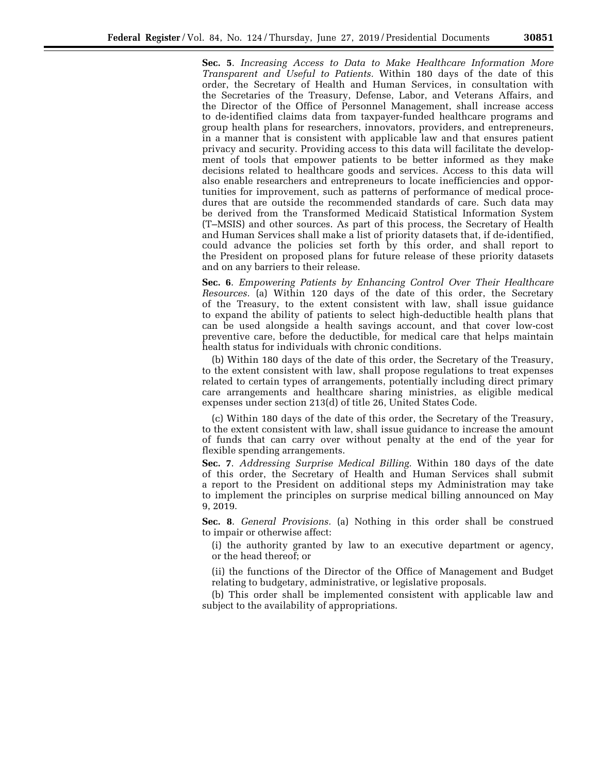**Sec. 5**. *Increasing Access to Data to Make Healthcare Information More Transparent and Useful to Patients.* Within 180 days of the date of this order, the Secretary of Health and Human Services, in consultation with the Secretaries of the Treasury, Defense, Labor, and Veterans Affairs, and the Director of the Office of Personnel Management, shall increase access to de-identified claims data from taxpayer-funded healthcare programs and group health plans for researchers, innovators, providers, and entrepreneurs, in a manner that is consistent with applicable law and that ensures patient privacy and security. Providing access to this data will facilitate the development of tools that empower patients to be better informed as they make decisions related to healthcare goods and services. Access to this data will also enable researchers and entrepreneurs to locate inefficiencies and opportunities for improvement, such as patterns of performance of medical procedures that are outside the recommended standards of care. Such data may be derived from the Transformed Medicaid Statistical Information System (T–MSIS) and other sources. As part of this process, the Secretary of Health and Human Services shall make a list of priority datasets that, if de-identified, could advance the policies set forth by this order, and shall report to the President on proposed plans for future release of these priority datasets and on any barriers to their release.

**Sec. 6**. *Empowering Patients by Enhancing Control Over Their Healthcare Resources.* (a) Within 120 days of the date of this order, the Secretary of the Treasury, to the extent consistent with law, shall issue guidance to expand the ability of patients to select high-deductible health plans that can be used alongside a health savings account, and that cover low-cost preventive care, before the deductible, for medical care that helps maintain health status for individuals with chronic conditions.

(b) Within 180 days of the date of this order, the Secretary of the Treasury, to the extent consistent with law, shall propose regulations to treat expenses related to certain types of arrangements, potentially including direct primary care arrangements and healthcare sharing ministries, as eligible medical expenses under section 213(d) of title 26, United States Code.

(c) Within 180 days of the date of this order, the Secretary of the Treasury, to the extent consistent with law, shall issue guidance to increase the amount of funds that can carry over without penalty at the end of the year for flexible spending arrangements.

**Sec. 7**. *Addressing Surprise Medical Billing.* Within 180 days of the date of this order, the Secretary of Health and Human Services shall submit a report to the President on additional steps my Administration may take to implement the principles on surprise medical billing announced on May 9, 2019.

**Sec. 8**. *General Provisions.* (a) Nothing in this order shall be construed to impair or otherwise affect:

(i) the authority granted by law to an executive department or agency, or the head thereof; or

(ii) the functions of the Director of the Office of Management and Budget relating to budgetary, administrative, or legislative proposals.

(b) This order shall be implemented consistent with applicable law and subject to the availability of appropriations.